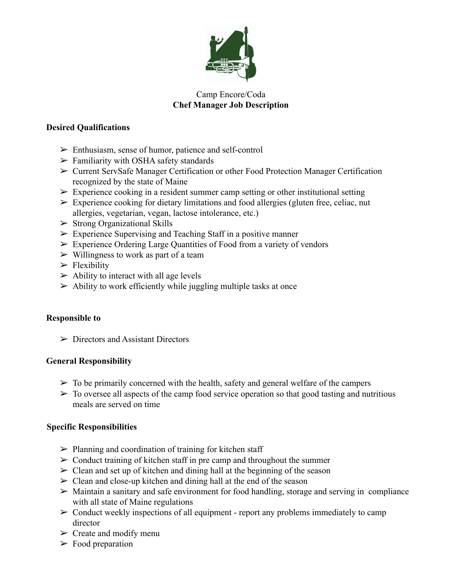

# Camp Encore/Coda **Chef Manager Job Description**

## **Desired Qualifications**

- $\triangleright$  Enthusiasm, sense of humor, patience and self-control
- $\triangleright$  Familiarity with OSHA safety standards
- ➢ Current ServSafe Manager Certification or other Food Protection Manager Certification recognized by the state of Maine
- $\triangleright$  Experience cooking in a resident summer camp setting or other institutional setting
- $\triangleright$  Experience cooking for dietary limitations and food allergies (gluten free, celiac, nut allergies, vegetarian, vegan, lactose intolerance, etc.)
- $\triangleright$  Strong Organizational Skills
- $\triangleright$  Experience Supervising and Teaching Staff in a positive manner
- $\triangleright$  Experience Ordering Large Quantities of Food from a variety of vendors
- $\triangleright$  Willingness to work as part of a team
- $\blacktriangleright$  Flexibility
- $\triangleright$  Ability to interact with all age levels
- $\triangleright$  Ability to work efficiently while juggling multiple tasks at once

### **Responsible to**

 $\triangleright$  Directors and Assistant Directors

# **General Responsibility**

- $\triangleright$  To be primarily concerned with the health, safety and general welfare of the campers
- $\triangleright$  To oversee all aspects of the camp food service operation so that good tasting and nutritious meals are served on time

### **Specific Responsibilities**

- $\triangleright$  Planning and coordination of training for kitchen staff
- $\triangleright$  Conduct training of kitchen staff in pre camp and throughout the summer
- $\geq$  Clean and set up of kitchen and dining hall at the beginning of the season
- $\geq$  Clean and close-up kitchen and dining hall at the end of the season
- $\triangleright$  Maintain a sanitary and safe environment for food handling, storage and serving in compliance with all state of Maine regulations
- $\triangleright$  Conduct weekly inspections of all equipment report any problems immediately to camp director
- $\triangleright$  Create and modify menu
- $\triangleright$  Food preparation